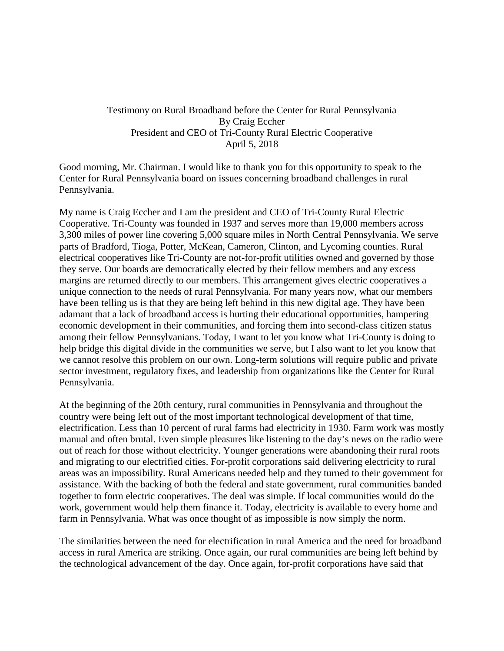## Testimony on Rural Broadband before the Center for Rural Pennsylvania By Craig Eccher President and CEO of Tri-County Rural Electric Cooperative April 5, 2018

Good morning, Mr. Chairman. I would like to thank you for this opportunity to speak to the Center for Rural Pennsylvania board on issues concerning broadband challenges in rural Pennsylvania.

My name is Craig Eccher and I am the president and CEO of Tri-County Rural Electric Cooperative. Tri-County was founded in 1937 and serves more than 19,000 members across 3,300 miles of power line covering 5,000 square miles in North Central Pennsylvania. We serve parts of Bradford, Tioga, Potter, McKean, Cameron, Clinton, and Lycoming counties. Rural electrical cooperatives like Tri-County are not-for-profit utilities owned and governed by those they serve. Our boards are democratically elected by their fellow members and any excess margins are returned directly to our members. This arrangement gives electric cooperatives a unique connection to the needs of rural Pennsylvania. For many years now, what our members have been telling us is that they are being left behind in this new digital age. They have been adamant that a lack of broadband access is hurting their educational opportunities, hampering economic development in their communities, and forcing them into second-class citizen status among their fellow Pennsylvanians. Today, I want to let you know what Tri-County is doing to help bridge this digital divide in the communities we serve, but I also want to let you know that we cannot resolve this problem on our own. Long-term solutions will require public and private sector investment, regulatory fixes, and leadership from organizations like the Center for Rural Pennsylvania.

At the beginning of the 20th century, rural communities in Pennsylvania and throughout the country were being left out of the most important technological development of that time, electrification. Less than 10 percent of rural farms had electricity in 1930. Farm work was mostly manual and often brutal. Even simple pleasures like listening to the day's news on the radio were out of reach for those without electricity. Younger generations were abandoning their rural roots and migrating to our electrified cities. For-profit corporations said delivering electricity to rural areas was an impossibility. Rural Americans needed help and they turned to their government for assistance. With the backing of both the federal and state government, rural communities banded together to form electric cooperatives. The deal was simple. If local communities would do the work, government would help them finance it. Today, electricity is available to every home and farm in Pennsylvania. What was once thought of as impossible is now simply the norm.

The similarities between the need for electrification in rural America and the need for broadband access in rural America are striking. Once again, our rural communities are being left behind by the technological advancement of the day. Once again, for-profit corporations have said that